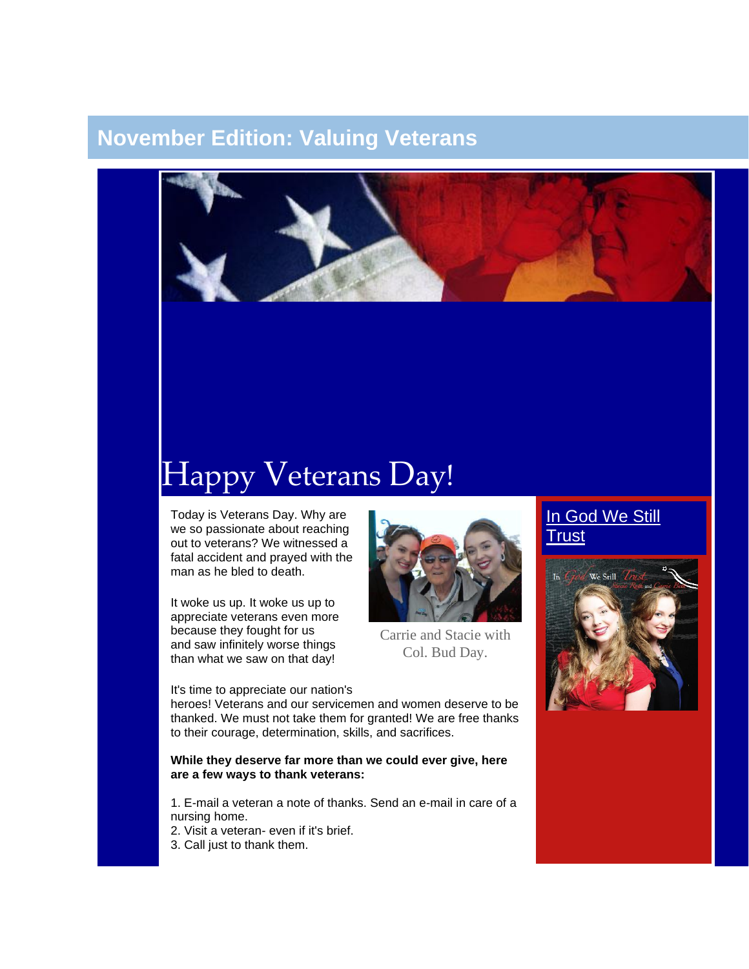## **November Edition: Valuing Veterans**



# Happy Veterans Day!

Today is Veterans Day. Why are we so passionate about reaching out to veterans? We witnessed a fatal accident and prayed with the man as he bled to death.

It woke us up. It woke us up to appreciate veterans even more because they fought for us and saw infinitely worse things than what we saw on that day!

#### It's time to appreciate our nation's



Carrie and Stacie with Col. Bud Day.

## In God We Still **[Trust](http://unitetheusa.org/id56.html)**



heroes! Veterans and our servicemen and women deserve to be thanked. We must not take them for granted! We are free thanks to their courage, determination, skills, and sacrifices.

#### **While they deserve far more than we could ever give, here are a few ways to thank veterans:**

1. E-mail a veteran a note of thanks. Send an e-mail in care of a nursing home.

2. Visit a veteran- even if it's brief.

3. Call just to thank them.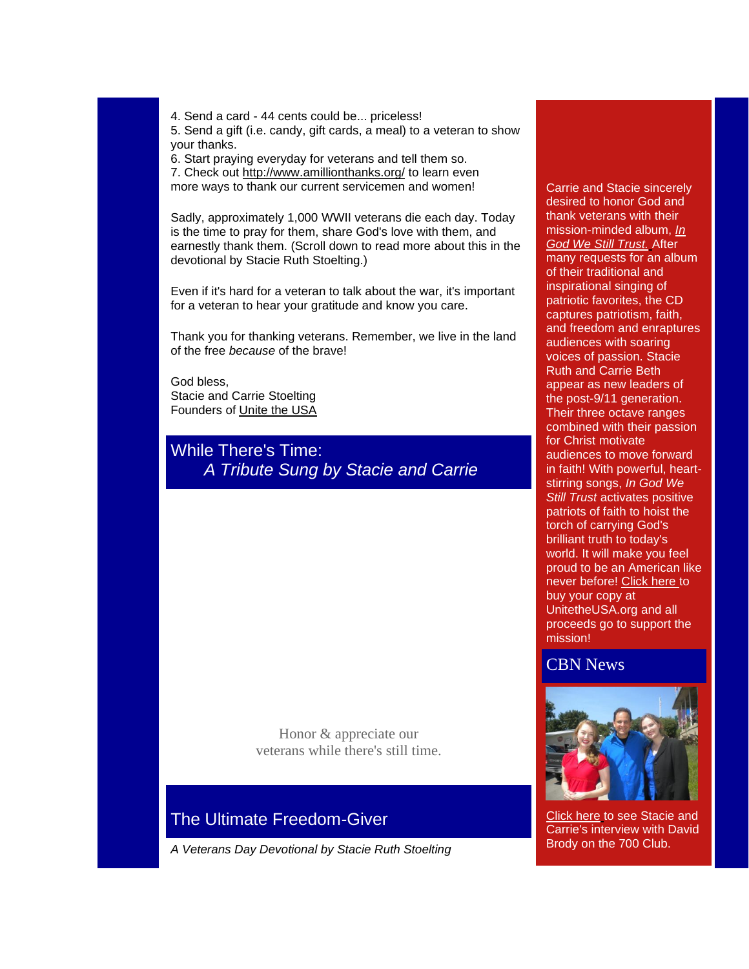4. Send a card - 44 cents could be... priceless! 5. Send a gift (i.e. candy, gift cards, a meal) to a veteran to show your thanks.

6. Start praying everyday for veterans and tell them so. 7. Check out <http://www.amillionthanks.org/> to learn even more ways to thank our current servicemen and women!

Sadly, approximately 1,000 WWII veterans die each day. Today is the time to pray for them, share God's love with them, and earnestly thank them. (Scroll down to read more about this in the devotional by Stacie Ruth Stoelting.)

Even if it's hard for a veteran to talk about the war, it's important for a veteran to hear your gratitude and know you care.

Thank you for thanking veterans. Remember, we live in the land of the free *because* of the brave!

God bless, Stacie and Carrie Stoelting Founders of [Unite the USA](http://unitetheusa.org/index.html)

While There's Time: *A Tribute Sung by Stacie and Carrie*

> Honor & appreciate our veterans while there's still time.

## The Ultimate Freedom-Giver

*A Veterans Day Devotional by Stacie Ruth Stoelting*

#### Carrie and Stacie sincerely desired to honor God and thank veterans with their mission-minded album, *[In](http://unitetheusa.org/id63.html)  [God We Still Trust.](http://unitetheusa.org/id63.html)* After many requests for an album of their traditional and inspirational singing of patriotic favorites, the CD captures patriotism, faith, and freedom and enraptures audiences with soaring voices of passion. Stacie Ruth and Carrie Beth appear as new leaders of the post-9/11 generation. Their three octave ranges combined with their passion for Christ motivate audiences to move forward in faith! With powerful, heartstirring songs, *In God We Still Trust* activates positive patriots of faith to hoist the torch of carrying God's brilliant truth to today's world. It will make you feel proud to be an American like never before! [Click here](http://unitetheusa.org/id56.html) to buy your copy at UnitetheUSA.org and all proceeds go to support the mission!

### CBN News



[Click here](http://r20.rs6.net/tn.jsp?llr=4h4hhncab&et=1108552851631&s=0&e=001ZcOhzvx2ir0hHd1eNtTzUs-OIdx73RwLfPCpLsvyhwFGgDsXedpJ5CLtZq1Y2WjUndi0vVHPDITdgtvmmV3JLxF3sxi0UG4LZFts274KgondpWe9zsYJoSeaGvvhZ3Rxf_KhWkTqfQuES2Q4Zv5yAs50W3r280ckQlrJ0zLRcQjtSQRHY57JSTszLdCWkDWXjMz-pIHeV3U=) to see Stacie and Carrie's interview with David Brody on the 700 Club.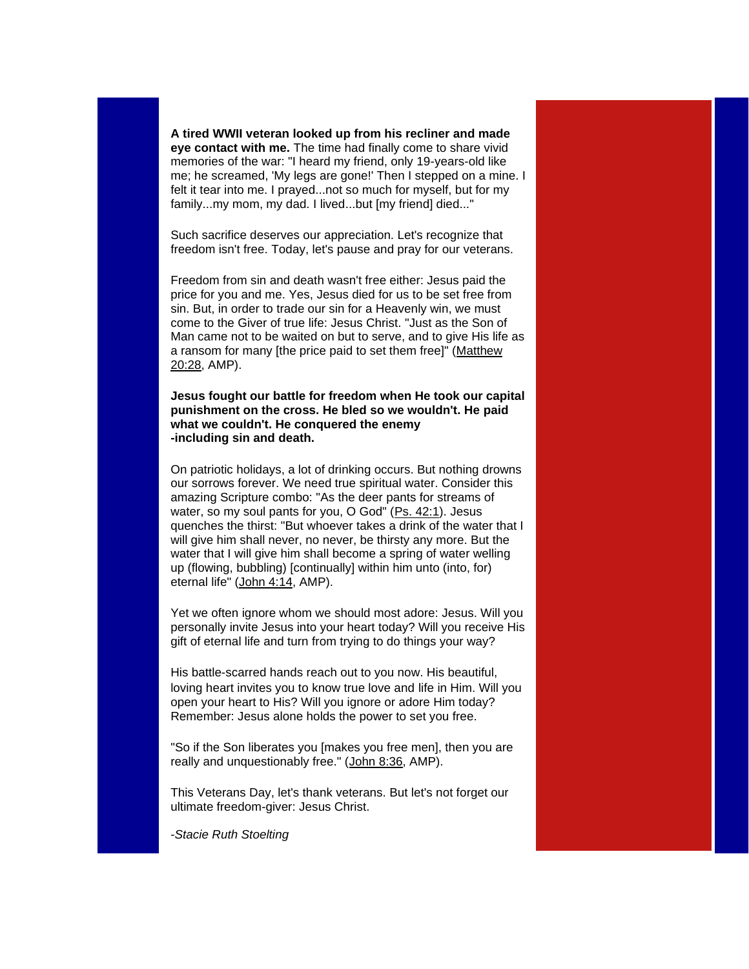**A tired WWII veteran looked up from his recliner and made eye contact with me.** The time had finally come to share vivid memories of the war: "I heard my friend, only 19-years-old like me; he screamed, 'My legs are gone!' Then I stepped on a mine. I felt it tear into me. I prayed...not so much for myself, but for my family...my mom, my dad. I lived...but [my friend] died..."

Such sacrifice deserves our appreciation. Let's recognize that freedom isn't free. Today, let's pause and pray for our veterans.

Freedom from sin and death wasn't free either: Jesus paid the price for you and me. Yes, Jesus died for us to be set free from sin. But, in order to trade our sin for a Heavenly win, we must come to the Giver of true life: Jesus Christ. "Just as the Son of Man came not to be waited on but to serve, and to give His life as a ransom for many [the price paid to set them free]" [\(Matthew](http://www.biblegateway.com/passage/?search=matthew%2020:28&version=ESV)  [20:28,](http://www.biblegateway.com/passage/?search=matthew%2020:28&version=ESV) AMP).

**Jesus fought our battle for freedom when He took our capital punishment on the cross. He bled so we wouldn't. He paid what we couldn't. He conquered the enemy -including sin and death.**

On patriotic holidays, a lot of drinking occurs. But nothing drowns our sorrows forever. We need true spiritual water. Consider this amazing Scripture combo: "As the deer pants for streams of water, so my soul pants for you, O God" [\(Ps. 42:1\)](http://www.biblegateway.com/passage/?search=psalm%2042:1&version=ESV). Jesus quenches the thirst: "But whoever takes a drink of the water that I will give him shall never, no never, be thirsty any more. But the water that I will give him shall become a spring of water welling up (flowing, bubbling) [continually] within him unto (into, for) eternal life" [\(John 4:14,](http://www.biblegateway.com/passage/?search=john%204:14&version=ESV) AMP).

Yet we often ignore whom we should most adore: Jesus. Will you personally invite Jesus into your heart today? Will you receive His gift of eternal life and turn from trying to do things your way?

His battle-scarred hands reach out to you now. His beautiful, loving heart invites you to know true love and life in Him. Will you open your heart to His? Will you ignore or adore Him today? Remember: Jesus alone holds the power to set you free.

"So if the Son liberates you [makes you free men], then you are really and unquestionably free." [\(John 8:36,](http://www.biblegateway.com/passage/?search=john%208:36&version=ESV) AMP).

This Veterans Day, let's thank veterans. But let's not forget our ultimate freedom-giver: Jesus Christ.

-*Stacie Ruth Stoelting*